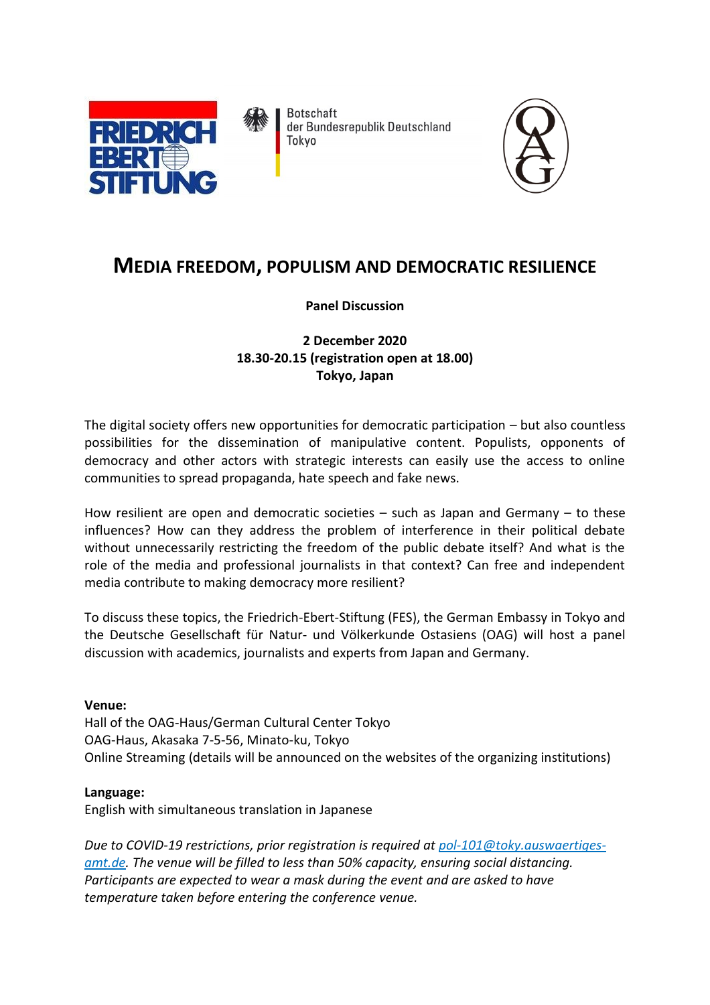

**Botschaft** der Bundesrepublik Deutschland Tokyo



# **MEDIA FREEDOM, POPULISM AND DEMOCRATIC RESILIENCE**

## **Panel Discussion**

## **2 December 2020 18.30-20.15 (registration open at 18.00) Tokyo, Japan**

The digital society offers new opportunities for democratic participation – but also countless possibilities for the dissemination of manipulative content. Populists, opponents of democracy and other actors with strategic interests can easily use the access to online communities to spread propaganda, hate speech and fake news.

How resilient are open and democratic societies – such as Japan and Germany – to these influences? How can they address the problem of interference in their political debate without unnecessarily restricting the freedom of the public debate itself? And what is the role of the media and professional journalists in that context? Can free and independent media contribute to making democracy more resilient?

To discuss these topics, the Friedrich-Ebert-Stiftung (FES), the German Embassy in Tokyo and the Deutsche Gesellschaft für Natur- und Völkerkunde Ostasiens (OAG) will host a panel discussion with academics, journalists and experts from Japan and Germany.

## **Venue:**

Hall of the OAG-Haus/German Cultural Center Tokyo OAG-Haus, Akasaka 7-5-56, Minato-ku, Tokyo Online Streaming (details will be announced on the websites of the organizing institutions)

## **Language:**

English with simultaneous translation in Japanese

*Due to COVID-19 restrictions, prior registration is required at pol-101@toky.auswaertigesamt.de. The venue will be filled to less than 50% capacity, ensuring social distancing. Participants are expected to wear a mask during the event and are asked to have temperature taken before entering the conference venue.*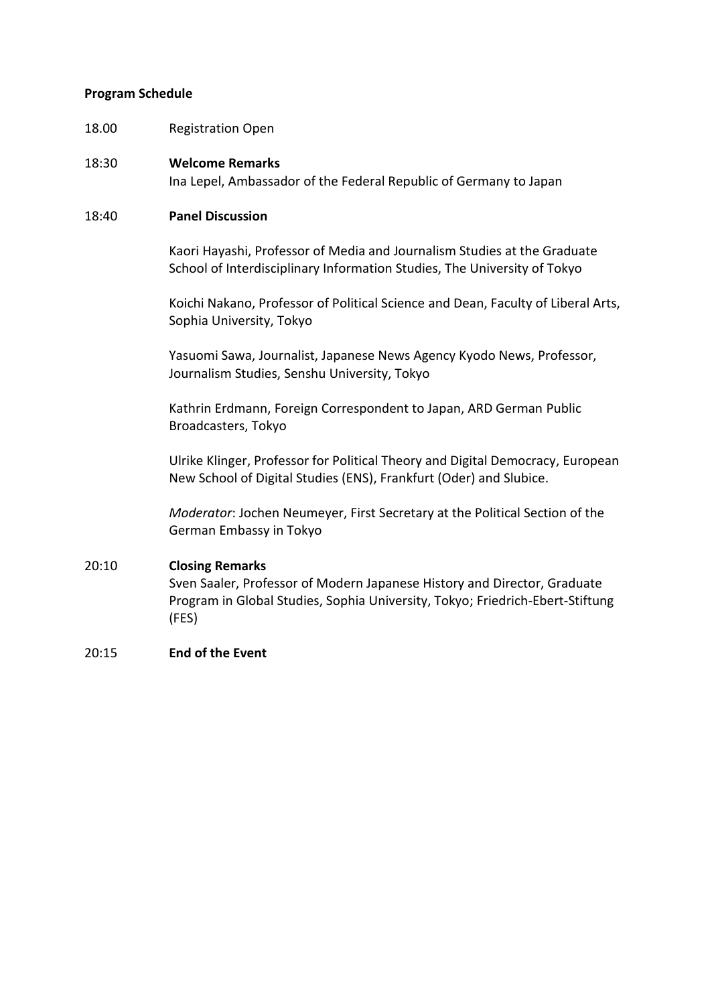### **Program Schedule**

18.00 Registration Open

### 18:30 **Welcome Remarks**

Ina Lepel, Ambassador of the Federal Republic of Germany to Japan

## 18:40 **Panel Discussion**

Kaori Hayashi, Professor of Media and Journalism Studies at the Graduate School of Interdisciplinary Information Studies, The University of Tokyo

Koichi Nakano, Professor of Political Science and Dean, Faculty of Liberal Arts, Sophia University, Tokyo

Yasuomi Sawa, Journalist, Japanese News Agency Kyodo News, Professor, Journalism Studies, Senshu University, Tokyo

Kathrin Erdmann, Foreign Correspondent to Japan, ARD German Public Broadcasters, Tokyo

Ulrike Klinger, Professor for Political Theory and Digital Democracy, European New School of Digital Studies (ENS), Frankfurt (Oder) and Slubice.

*Moderator*: Jochen Neumeyer, First Secretary at the Political Section of the German Embassy in Tokyo

### 20:10 **Closing Remarks**

Sven Saaler, Professor of Modern Japanese History and Director, Graduate Program in Global Studies, Sophia University, Tokyo; Friedrich-Ebert-Stiftung (FES)

### 20:15 **End of the Event**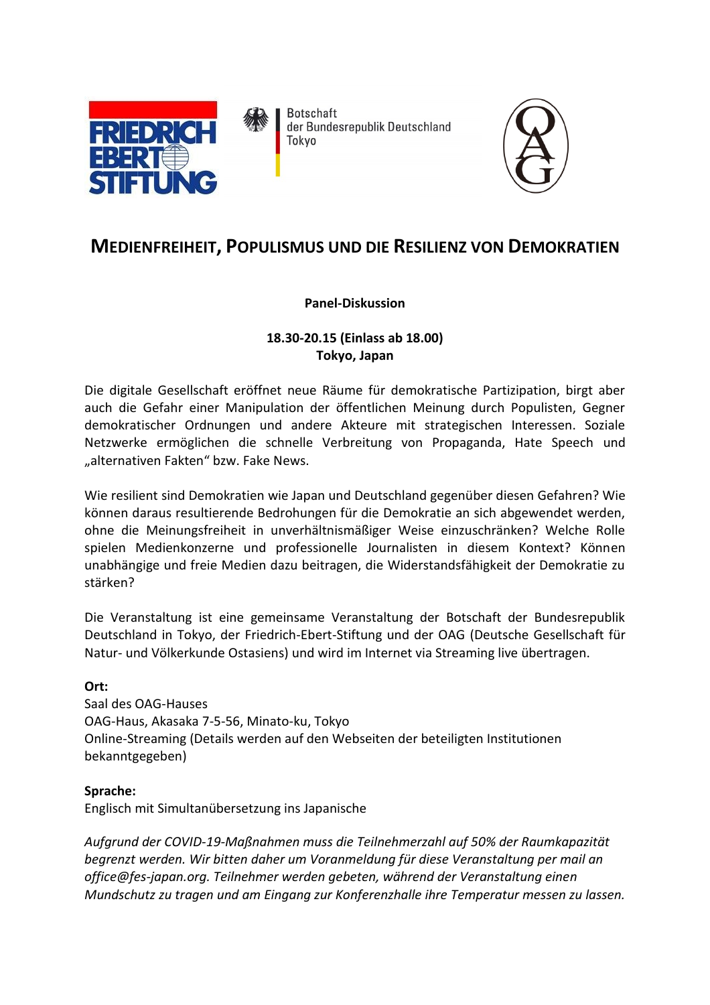

**Botschaft** der Bundesrepublik Deutschland Tokyo



## **MEDIENFREIHEIT, POPULISMUS UND DIE RESILIENZ VON DEMOKRATIEN**

## **Panel-Diskussion**

## **18.30-20.15 (Einlass ab 18.00) Tokyo, Japan**

Die digitale Gesellschaft eröffnet neue Räume für demokratische Partizipation, birgt aber auch die Gefahr einer Manipulation der öffentlichen Meinung durch Populisten, Gegner demokratischer Ordnungen und andere Akteure mit strategischen Interessen. Soziale Netzwerke ermöglichen die schnelle Verbreitung von Propaganda, Hate Speech und "alternativen Fakten" bzw. Fake News.

Wie resilient sind Demokratien wie Japan und Deutschland gegenüber diesen Gefahren? Wie können daraus resultierende Bedrohungen für die Demokratie an sich abgewendet werden, ohne die Meinungsfreiheit in unverhältnismäßiger Weise einzuschränken? Welche Rolle spielen Medienkonzerne und professionelle Journalisten in diesem Kontext? Können unabhängige und freie Medien dazu beitragen, die Widerstandsfähigkeit der Demokratie zu stärken?

Die Veranstaltung ist eine gemeinsame Veranstaltung der Botschaft der Bundesrepublik Deutschland in Tokyo, der Friedrich-Ebert-Stiftung und der OAG (Deutsche Gesellschaft für Natur- und Völkerkunde Ostasiens) und wird im Internet via Streaming live übertragen.

## **Ort:**

Saal des OAG-Hauses OAG-Haus, Akasaka 7-5-56, Minato-ku, Tokyo Online-Streaming (Details werden auf den Webseiten der beteiligten Institutionen bekanntgegeben)

## **Sprache:**

Englisch mit Simultanübersetzung ins Japanische

*Aufgrund der COVID-19-Maßnahmen muss die Teilnehmerzahl auf 50% der Raumkapazität begrenzt werden. Wir bitten daher um Voranmeldung für diese Veranstaltung per mail an office@fes-japan.org. Teilnehmer werden gebeten, während der Veranstaltung einen Mundschutz zu tragen und am Eingang zur Konferenzhalle ihre Temperatur messen zu lassen.*